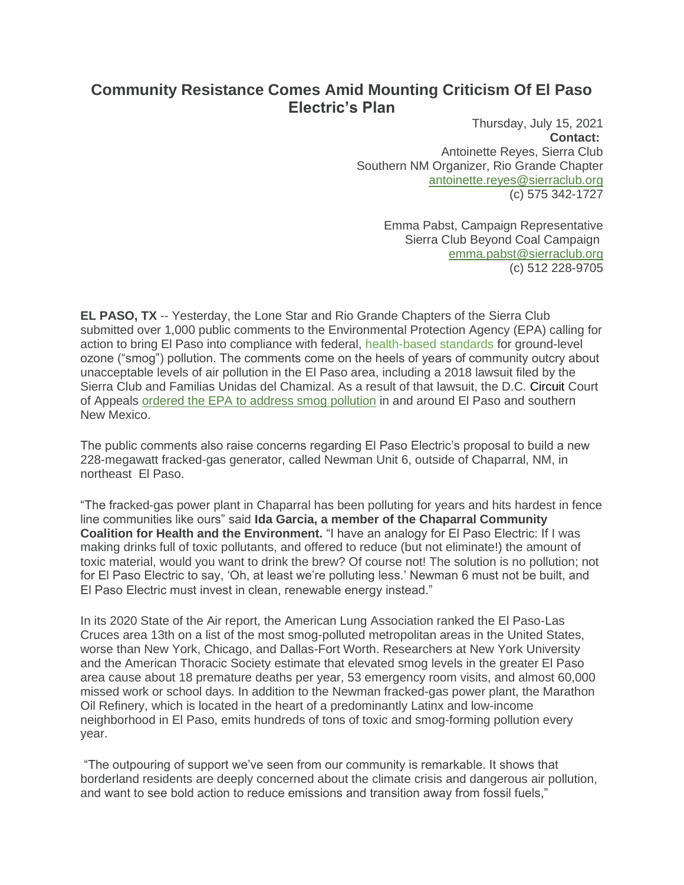## **Community Resistance Comes Amid Mounting Criticism Of El Paso Electric's Plan**

Thursday, July 15, 2021 **Contact:** Antoinette Reyes, Sierra Club Southern NM Organizer, Rio Grande Chapter [antoinette.reyes@sierraclub.org](mailto:antoinette.reyes@sierraclub.org) (c) 575 342-1727

> Emma Pabst, Campaign Representative Sierra Club Beyond Coal Campaign [emma.pabst@sierraclub.org](mailto:emma.pabst@sierraclub.org) (c) 512 228-9705

**EL PASO, TX** -- Yesterday, the Lone Star and Rio Grande Chapters of the Sierra Club submitted over 1,000 public comments to the Environmental Protection Agency (EPA) calling for action to bring El Paso into compliance with federal, health-based standards for ground-level ozone ("smog") pollution. The comments come on the heels of years of community outcry about unacceptable levels of air pollution in the El Paso area, including a 2018 lawsuit filed by the Sierra Club and Familias Unidas del Chamizal. As a result of that lawsuit, the D.C. Circuit Court of Appeals ordered the EPA to address smog [pollution](https://www.krwg.org/post/court-orders-epa-address-air-pollution-el-paso-and-southern-new-mexico) in and around El Paso and southern New Mexico.

The public comments also raise concerns regarding El Paso Electric's proposal to build a new 228-megawatt fracked-gas generator, called Newman Unit 6, outside of Chaparral, NM, in northeast El Paso.

"The fracked-gas power plant in Chaparral has been polluting for years and hits hardest in fence line communities like ours" said **Ida Garcia, a member of the Chaparral Community Coalition for Health and the Environment.** "I have an analogy for El Paso Electric: If I was making drinks full of toxic pollutants, and offered to reduce (but not eliminate!) the amount of toxic material, would you want to drink the brew? Of course not! The solution is no pollution; not for El Paso Electric to say, 'Oh, at least we're polluting less.' Newman 6 must not be built, and El Paso Electric must invest in clean, renewable energy instead."

In its 2020 State of the Air report, the American Lung Association ranked the El Paso-Las Cruces area 13th on a list of the most smog-polluted metropolitan areas in the United States, worse than New York, Chicago, and Dallas-Fort Worth. Researchers at New York University and the American Thoracic Society estimate that elevated smog levels in the greater El Paso area cause about 18 premature deaths per year, 53 emergency room visits, and almost 60,000 missed work or school days. In addition to the Newman fracked-gas power plant, the Marathon Oil Refinery, which is located in the heart of a predominantly Latinx and low-income neighborhood in El Paso, emits hundreds of tons of toxic and smog-forming pollution every year.

"The outpouring of support we've seen from our community is remarkable. It shows that borderland residents are deeply concerned about the climate crisis and dangerous air pollution, and want to see bold action to reduce emissions and transition away from fossil fuels,"